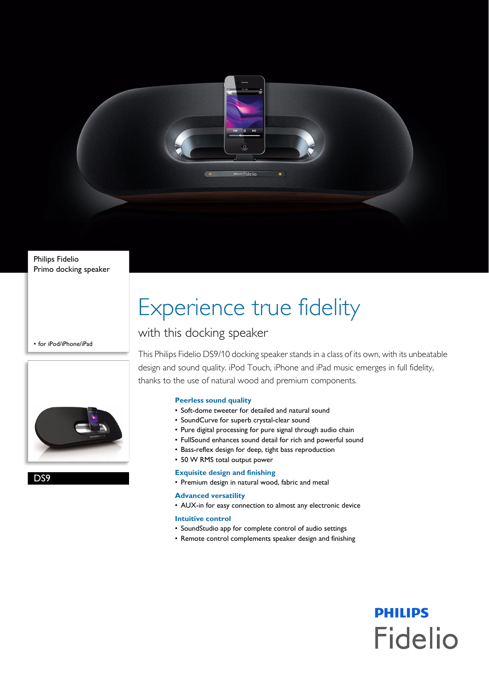

Philips Fidelio Primo docking speaker

• for iPod/iPhone/iPad



D<sub>S9</sub>

# Experience true fidelity

### with this docking speaker

This Philips Fidelio DS9/10 docking speaker stands in a class of its own, with its unbeatable design and sound quality. iPod Touch, iPhone and iPad music emerges in full fidelity, thanks to the use of natural wood and premium components.

#### **Peerless sound quality**

- Soft-dome tweeter for detailed and natural sound
- SoundCurve for superb crystal-clear sound
- Pure digital processing for pure signal through audio chain
- FullSound enhances sound detail for rich and powerful sound
- Bass-reflex design for deep, tight bass reproduction
- 50 W RMS total output power

#### **Exquisite design and finishing**

• Premium design in natural wood, fabric and metal

#### **Advanced versatility**

• AUX-in for easy connection to almost any electronic device

#### **Intuitive control**

- SoundStudio app for complete control of audio settings
- Remote control complements speaker design and finishing

**PHILIPS** 

**Fidelio**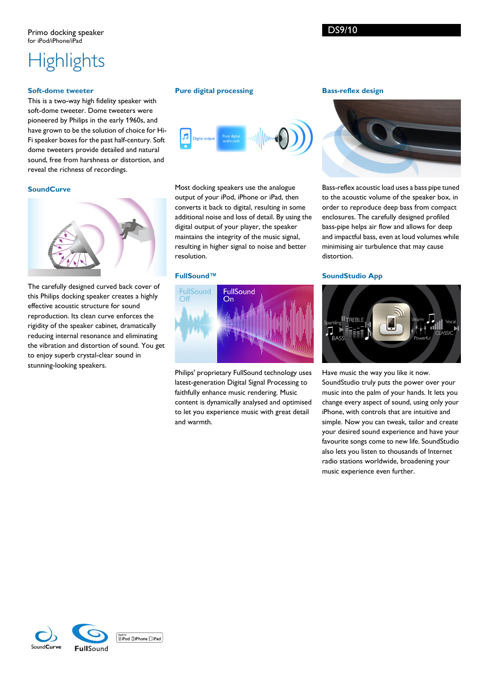## **Highlights**

#### **Soft-dome tweeter**

This is a two-way high fidelity speaker with soft-dome tweeter. Dome tweeters were pioneered by Philips in the early 1960s, and have grown to be the solution of choice for Hi-Fi speaker boxes for the past half-century. Soft dome tweeters provide detailed and natural sound, free from harshness or distortion, and reveal the richness of recordings.

#### **SoundCurve**



The carefully designed curved back cover of this Philips docking speaker creates a highly effective acoustic structure for sound reproduction. Its clean curve enforces the rigidity of the speaker cabinet, dramatically reducing internal resonance and eliminating the vibration and distortion of sound. You get to enjoy superb crystal-clear sound in stunning-looking speakers.

#### **Pure digital processing**



Most docking speakers use the analogue output of your iPod, iPhone or iPad, then converts it back to digital, resulting in some additional noise and loss of detail. By using the digital output of your player, the speaker maintains the integrity of the music signal, resulting in higher signal to noise and better resolution.

#### **FullSound™**



Philips' proprietary FullSound technology uses latest-generation Digital Signal Processing to faithfully enhance music rendering. Music content is dynamically analysed and optimised to let you experience music with great detail and warmth.

#### **Bass-reflex design**



Bass-reflex acoustic load uses a bass pipe tuned to the acoustic volume of the speaker box, in order to reproduce deep bass from compact enclosures. The carefully designed profiled bass-pipe helps air flow and allows for deep and impactful bass, even at loud volumes while minimising air turbulence that may cause distortion.

#### **SoundStudio App**



Have music the way you like it now. SoundStudio truly puts the power over your music into the palm of your hands. It lets you change every aspect of sound, using only your iPhone, with controls that are intuitive and simple. Now you can tweak, tailor and create your desired sound experience and have your favourite songs come to new life. SoundStudio also lets you listen to thousands of Internet radio stations worldwide, broadening your music experience even further.